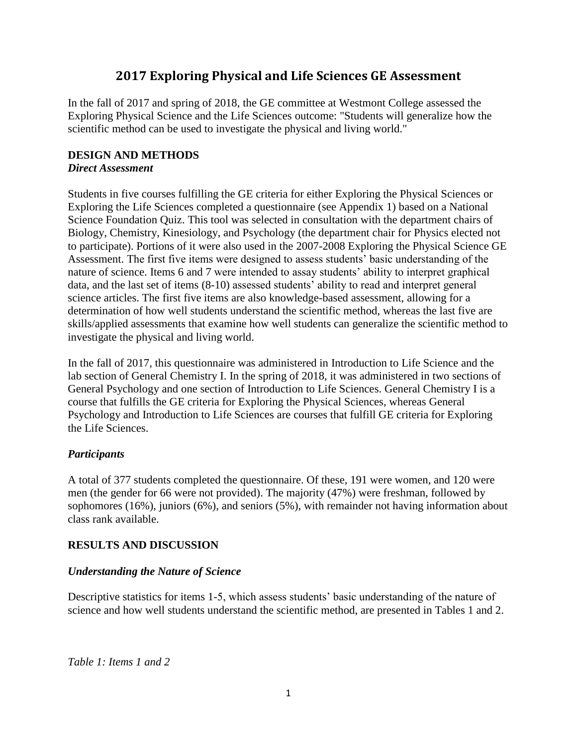# **2017 Exploring Physical and Life Sciences GE Assessment**

In the fall of 2017 and spring of 2018, the GE committee at Westmont College assessed the Exploring Physical Science and the Life Sciences outcome: "Students will generalize how the scientific method can be used to investigate the physical and living world."

### **DESIGN AND METHODS** *Direct Assessment*

Students in five courses fulfilling the GE criteria for either Exploring the Physical Sciences or Exploring the Life Sciences completed a questionnaire (see Appendix 1) based on a National Science Foundation Quiz. This tool was selected in consultation with the department chairs of Biology, Chemistry, Kinesiology, and Psychology (the department chair for Physics elected not to participate). Portions of it were also used in the 2007-2008 Exploring the Physical Science GE Assessment. The first five items were designed to assess students' basic understanding of the nature of science. Items 6 and 7 were intended to assay students' ability to interpret graphical data, and the last set of items (8-10) assessed students' ability to read and interpret general science articles. The first five items are also knowledge-based assessment, allowing for a determination of how well students understand the scientific method, whereas the last five are skills/applied assessments that examine how well students can generalize the scientific method to investigate the physical and living world.

In the fall of 2017, this questionnaire was administered in Introduction to Life Science and the lab section of General Chemistry I. In the spring of 2018, it was administered in two sections of General Psychology and one section of Introduction to Life Sciences. General Chemistry I is a course that fulfills the GE criteria for Exploring the Physical Sciences, whereas General Psychology and Introduction to Life Sciences are courses that fulfill GE criteria for Exploring the Life Sciences.

## *Participants*

A total of 377 students completed the questionnaire. Of these, 191 were women, and 120 were men (the gender for 66 were not provided). The majority (47%) were freshman, followed by sophomores (16%), juniors (6%), and seniors (5%), with remainder not having information about class rank available.

## **RESULTS AND DISCUSSION**

### *Understanding the Nature of Science*

Descriptive statistics for items 1-5, which assess students' basic understanding of the nature of science and how well students understand the scientific method, are presented in Tables 1 and 2.

*Table 1: Items 1 and 2*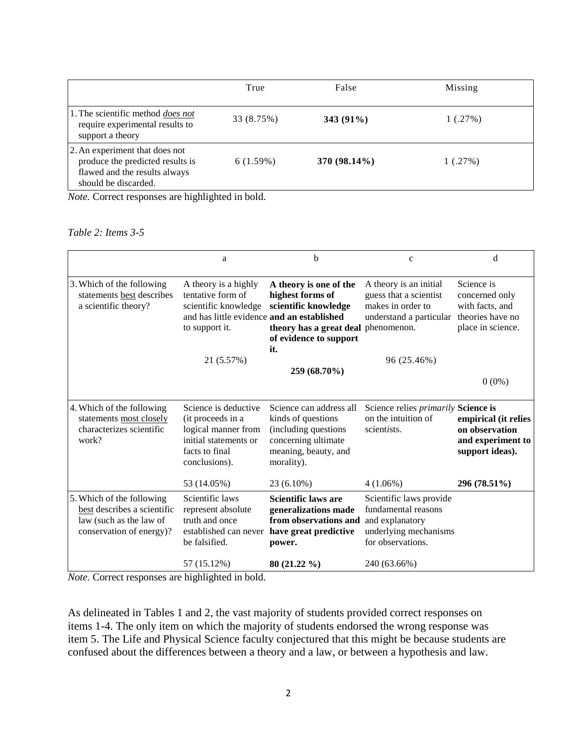|                                                                                                                             | True       | False          | Missing |
|-----------------------------------------------------------------------------------------------------------------------------|------------|----------------|---------|
| 1. The scientific method <i>does not</i><br>require experimental results to<br>support a theory                             | 33 (8.75%) | $343(91\%)$    | 1(.27%) |
| 2. An experiment that does not<br>produce the predicted results is<br>flawed and the results always<br>should be discarded. | 6(1.59%)   | $370(98.14\%)$ | 1(.27%) |

*Note.* Correct responses are highlighted in bold.

*Table 2: Items 3-5*

|                                                                                                                 | a                                                                                                                                 | b                                                                                                                                          | $\mathbf c$                                                                                                     | d                                                                                        |
|-----------------------------------------------------------------------------------------------------------------|-----------------------------------------------------------------------------------------------------------------------------------|--------------------------------------------------------------------------------------------------------------------------------------------|-----------------------------------------------------------------------------------------------------------------|------------------------------------------------------------------------------------------|
| 3. Which of the following<br>statements best describes<br>a scientific theory?                                  | A theory is a highly<br>tentative form of<br>scientific knowledge<br>and has little evidence and an established<br>to support it. | A theory is one of the<br>highest forms of<br>scientific knowledge<br>theory has a great deal phenomenon.<br>of evidence to support<br>it. | A theory is an initial<br>guess that a scientist<br>makes in order to<br>understand a particular                | Science is<br>concerned only<br>with facts, and<br>theories have no<br>place in science. |
|                                                                                                                 | 21 (5.57%)                                                                                                                        |                                                                                                                                            | 96 (25.46%)                                                                                                     |                                                                                          |
|                                                                                                                 |                                                                                                                                   | 259 (68.70%)                                                                                                                               |                                                                                                                 |                                                                                          |
|                                                                                                                 |                                                                                                                                   |                                                                                                                                            |                                                                                                                 | $0(0\%)$                                                                                 |
| 4. Which of the following<br>statements most closely<br>characterizes scientific<br>work?                       | Science is deductive<br>(it proceeds in a<br>logical manner from<br>initial statements or<br>facts to final<br>conclusions).      | Science can address all<br>kinds of questions<br>(including questions<br>concerning ultimate<br>meaning, beauty, and<br>morality).         | Science relies <i>primarily</i> Science is<br>on the intuition of<br>scientists.                                | empirical (it relies<br>on observation<br>and experiment to<br>support ideas).           |
|                                                                                                                 | 53 (14.05%)                                                                                                                       | 23 (6.10%)                                                                                                                                 | $4(1.06\%)$                                                                                                     | 296 (78.51%)                                                                             |
| 5. Which of the following<br>best describes a scientific<br>law (such as the law of<br>conservation of energy)? | Scientific laws<br>represent absolute<br>truth and once<br>established can never<br>be falsified.                                 | <b>Scientific laws are</b><br>generalizations made<br>from observations and<br>have great predictive<br>power.                             | Scientific laws provide<br>fundamental reasons<br>and explanatory<br>underlying mechanisms<br>for observations. |                                                                                          |
| Note Compating proposed and highlighted in hold                                                                 | 57 (15.12%)                                                                                                                       | $80(21.22\%)$                                                                                                                              | 240 (63.66%)                                                                                                    |                                                                                          |

*Note.* Correct responses are highlighted in bold.

As delineated in Tables 1 and 2, the vast majority of students provided correct responses on items 1-4. The only item on which the majority of students endorsed the wrong response was item 5. The Life and Physical Science faculty conjectured that this might be because students are confused about the differences between a theory and a law, or between a hypothesis and law.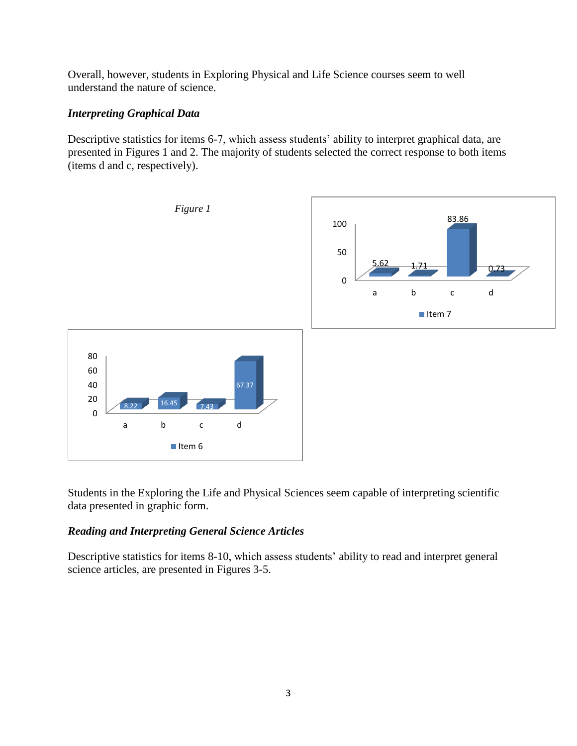Overall, however, students in Exploring Physical and Life Science courses seem to well understand the nature of science.

### *Interpreting Graphical Data*

Descriptive statistics for items 6-7, which assess students' ability to interpret graphical data, are presented in Figures 1 and 2. The majority of students selected the correct response to both items (items d and c, respectively).



Students in the Exploring the Life and Physical Sciences seem capable of interpreting scientific data presented in graphic form.

### *Reading and Interpreting General Science Articles*

Descriptive statistics for items 8-10, which assess students' ability to read and interpret general science articles, are presented in Figures 3-5.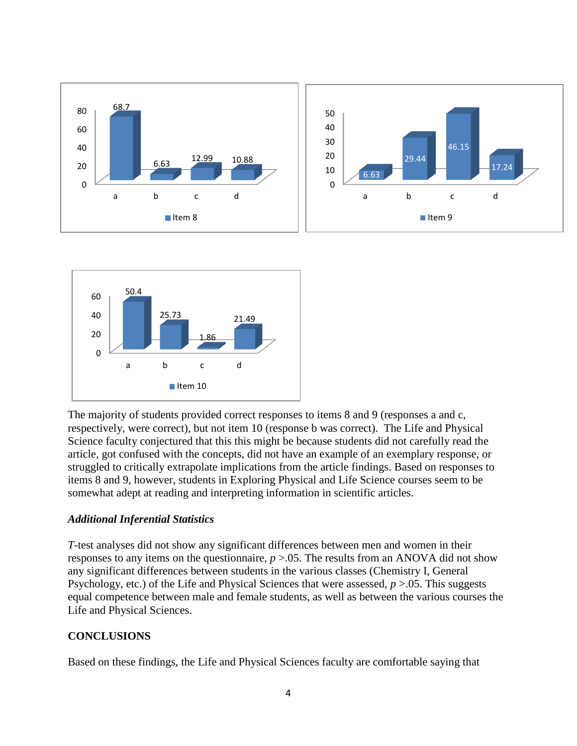



The majority of students provided correct responses to items 8 and 9 (responses a and c, respectively, were correct), but not item 10 (response b was correct). The Life and Physical Science faculty conjectured that this this might be because students did not carefully read the article, got confused with the concepts, did not have an example of an exemplary response, or struggled to critically extrapolate implications from the article findings. Based on responses to items 8 and 9, however, students in Exploring Physical and Life Science courses seem to be somewhat adept at reading and interpreting information in scientific articles.

#### *Additional Inferential Statistics*

*T*-test analyses did not show any significant differences between men and women in their responses to any items on the questionnaire,  $p > 0.05$ . The results from an ANOVA did not show any significant differences between students in the various classes (Chemistry I, General Psychology, etc.) of the Life and Physical Sciences that were assessed, *p* >.05. This suggests equal competence between male and female students, as well as between the various courses the Life and Physical Sciences.

### **CONCLUSIONS**

Based on these findings, the Life and Physical Sciences faculty are comfortable saying that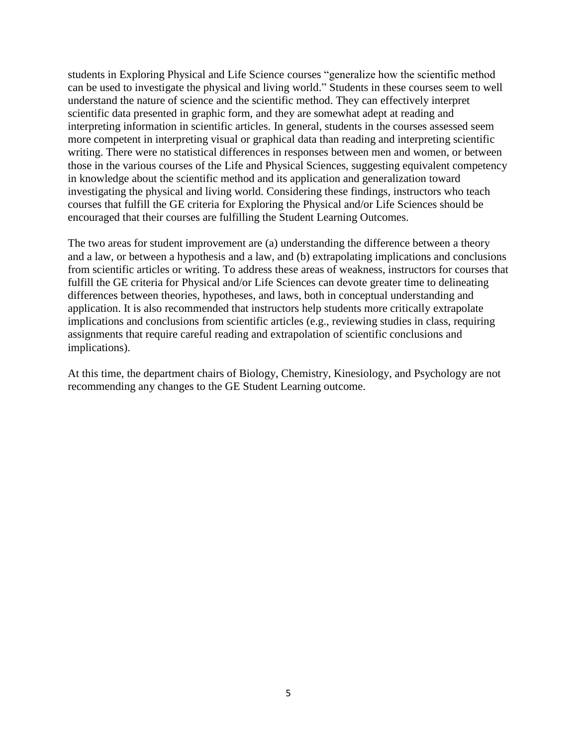students in Exploring Physical and Life Science courses "generalize how the scientific method can be used to investigate the physical and living world." Students in these courses seem to well understand the nature of science and the scientific method. They can effectively interpret scientific data presented in graphic form, and they are somewhat adept at reading and interpreting information in scientific articles. In general, students in the courses assessed seem more competent in interpreting visual or graphical data than reading and interpreting scientific writing. There were no statistical differences in responses between men and women, or between those in the various courses of the Life and Physical Sciences, suggesting equivalent competency in knowledge about the scientific method and its application and generalization toward investigating the physical and living world. Considering these findings, instructors who teach courses that fulfill the GE criteria for Exploring the Physical and/or Life Sciences should be encouraged that their courses are fulfilling the Student Learning Outcomes.

The two areas for student improvement are (a) understanding the difference between a theory and a law, or between a hypothesis and a law, and (b) extrapolating implications and conclusions from scientific articles or writing. To address these areas of weakness, instructors for courses that fulfill the GE criteria for Physical and/or Life Sciences can devote greater time to delineating differences between theories, hypotheses, and laws, both in conceptual understanding and application. It is also recommended that instructors help students more critically extrapolate implications and conclusions from scientific articles (e.g., reviewing studies in class, requiring assignments that require careful reading and extrapolation of scientific conclusions and implications).

At this time, the department chairs of Biology, Chemistry, Kinesiology, and Psychology are not recommending any changes to the GE Student Learning outcome.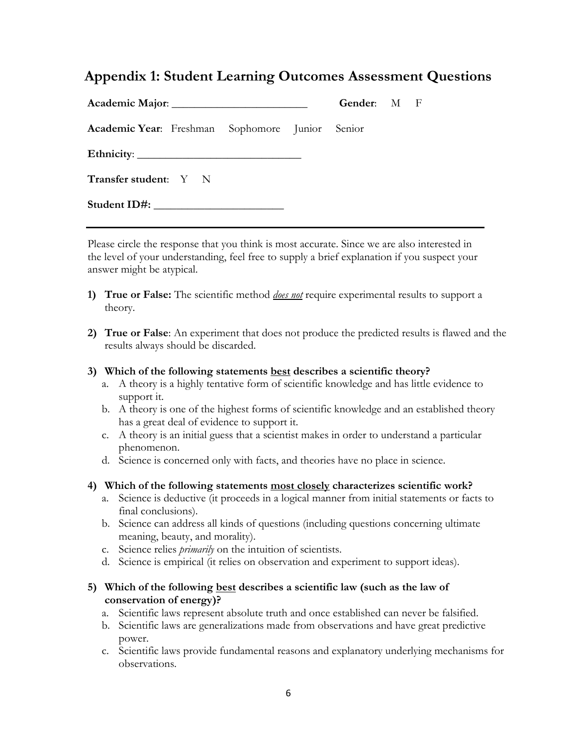# **Appendix 1: Student Learning Outcomes Assessment Questions**

|                                                 | Gender: M F |  |  |
|-------------------------------------------------|-------------|--|--|
| Academic Year: Freshman Sophomore Junior Senior |             |  |  |
|                                                 |             |  |  |
| <b>Transfer student:</b> Y N                    |             |  |  |
|                                                 |             |  |  |

Please circle the response that you think is most accurate. Since we are also interested in the level of your understanding, feel free to supply a brief explanation if you suspect your answer might be atypical.

- **1) True or False:** The scientific method *does not* require experimental results to support a theory.
- **2) True or False**: An experiment that does not produce the predicted results is flawed and the results always should be discarded.

### **3) Which of the following statements best describes a scientific theory?**

- a. A theory is a highly tentative form of scientific knowledge and has little evidence to support it.
- b. A theory is one of the highest forms of scientific knowledge and an established theory has a great deal of evidence to support it.
- c. A theory is an initial guess that a scientist makes in order to understand a particular phenomenon.
- d. Science is concerned only with facts, and theories have no place in science.
- **4) Which of the following statements most closely characterizes scientific work?**
	- a. Science is deductive (it proceeds in a logical manner from initial statements or facts to final conclusions).
	- b. Science can address all kinds of questions (including questions concerning ultimate meaning, beauty, and morality).
	- c. Science relies *primarily* on the intuition of scientists.
	- d. Science is empirical (it relies on observation and experiment to support ideas).

### **5) Which of the following best describes a scientific law (such as the law of conservation of energy)?**

- a. Scientific laws represent absolute truth and once established can never be falsified.
- b. Scientific laws are generalizations made from observations and have great predictive power.
- c. Scientific laws provide fundamental reasons and explanatory underlying mechanisms for observations.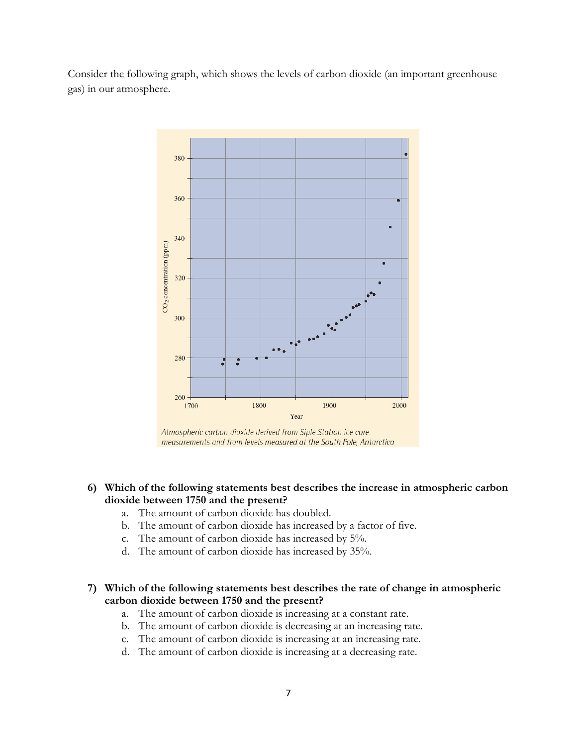Consider the following graph, which shows the levels of carbon dioxide (an important greenhouse gas) in our atmosphere.



Atmospheric carbon dioxide derived from Siple Station ice core measurements and from levels measured at the South Pole, Antarctica

- **6) Which of the following statements best describes the increase in atmospheric carbon dioxide between 1750 and the present?** 
	- a. The amount of carbon dioxide has doubled.
	- b. The amount of carbon dioxide has increased by a factor of five.
	- c. The amount of carbon dioxide has increased by 5%.
	- d. The amount of carbon dioxide has increased by 35%.
- **7) Which of the following statements best describes the rate of change in atmospheric carbon dioxide between 1750 and the present?**
	- a. The amount of carbon dioxide is increasing at a constant rate.
	- b. The amount of carbon dioxide is decreasing at an increasing rate.
	- c. The amount of carbon dioxide is increasing at an increasing rate.
	- d. The amount of carbon dioxide is increasing at a decreasing rate.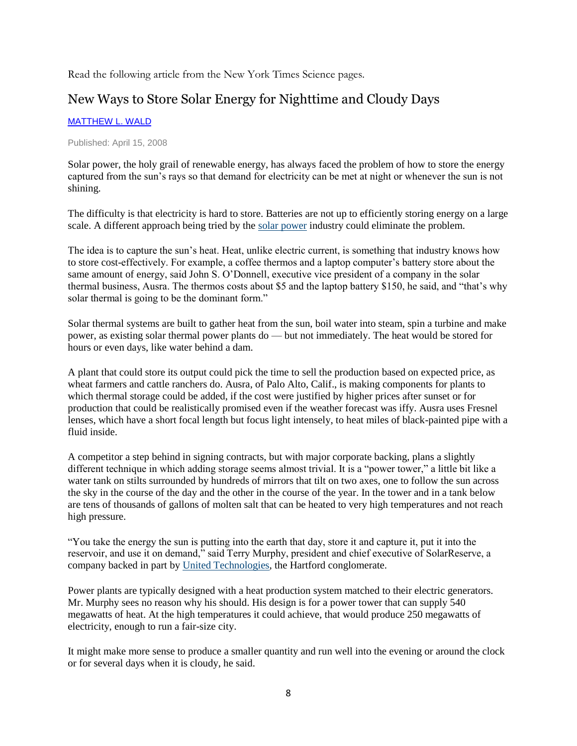Read the following article from the New York Times Science pages.

# New Ways to Store Solar Energy for Nighttime and Cloudy Days

### [MATTHEW L. WALD](http://topics.nytimes.com/top/reference/timestopics/people/w/matthew_l_wald/index.html?inline=nyt-per)

#### Published: April 15, 2008

Solar power, the holy grail of renewable energy, has always faced the problem of how to store the energy captured from the sun's rays so that demand for electricity can be met at night or whenever the sun is not shining.

The difficulty is that electricity is hard to store. Batteries are not up to efficiently storing energy on a large scale. A different approach being tried by the [solar power](http://topics.nytimes.com/top/news/science/topics/solar_energy/index.html?inline=nyt-classifier) industry could eliminate the problem.

The idea is to capture the sun's heat. Heat, unlike electric current, is something that industry knows how to store cost-effectively. For example, a coffee thermos and a laptop computer's battery store about the same amount of energy, said John S. O'Donnell, executive vice president of a company in the solar thermal business, Ausra. The thermos costs about \$5 and the laptop battery \$150, he said, and "that's why solar thermal is going to be the dominant form."

Solar thermal systems are built to gather heat from the sun, boil water into steam, spin a turbine and make power, as existing solar thermal power plants do — but not immediately. The heat would be stored for hours or even days, like water behind a dam.

A plant that could store its output could pick the time to sell the production based on expected price, as wheat farmers and cattle ranchers do. Ausra, of Palo Alto, Calif., is making components for plants to which thermal storage could be added, if the cost were justified by higher prices after sunset or for production that could be realistically promised even if the weather forecast was iffy. Ausra uses Fresnel lenses, which have a short focal length but focus light intensely, to heat miles of black-painted pipe with a fluid inside.

A competitor a step behind in signing contracts, but with major corporate backing, plans a slightly different technique in which adding storage seems almost trivial. It is a "power tower," a little bit like a water tank on stilts surrounded by hundreds of mirrors that tilt on two axes, one to follow the sun across the sky in the course of the day and the other in the course of the year. In the tower and in a tank below are tens of thousands of gallons of molten salt that can be heated to very high temperatures and not reach high pressure.

"You take the energy the sun is putting into the earth that day, store it and capture it, put it into the reservoir, and use it on demand," said Terry Murphy, president and chief executive of SolarReserve, a company backed in part by [United Technologies,](http://topics.nytimes.com/top/news/business/companies/united_technologies_corporation/index.html?inline=nyt-org) the Hartford conglomerate.

Power plants are typically designed with a heat production system matched to their electric generators. Mr. Murphy sees no reason why his should. His design is for a power tower that can supply 540 megawatts of heat. At the high temperatures it could achieve, that would produce 250 megawatts of electricity, enough to run a fair-size city.

It might make more sense to produce a smaller quantity and run well into the evening or around the clock or for several days when it is cloudy, he said.